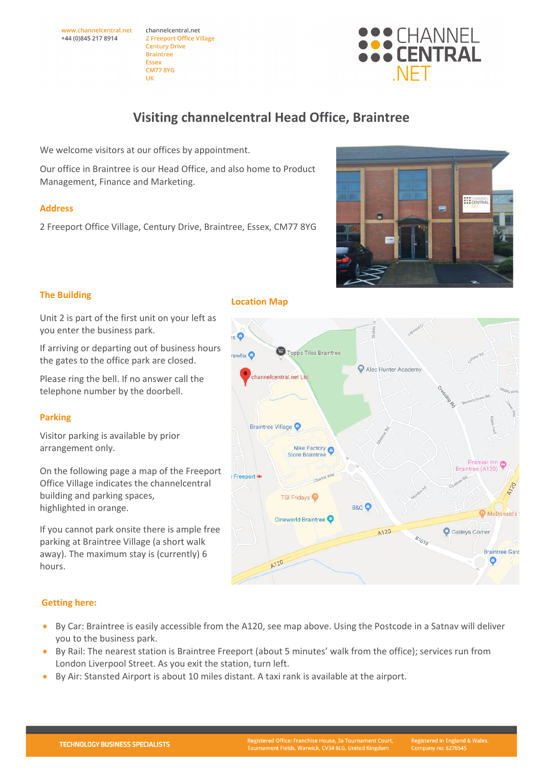We welcome visitors at our offices by appointment. Our office in Braintree is our Head Office, and also home to Product

## **Address**

2 Freeport Office Village, Century Drive, Braintree, Essex, CM77 8YG

**The Building**

Unit 2 is part of the first unit on your left as you enter the business park.

If arriving or departing out of business hours the gates to the office park are closed.

Please ring the bell. If no answer call the telephone number by the doorbell.

## **Parking**

 **Getting here:**

Visitor parking is available by prior arrangement only.

On the following page a map of the Freeport Office Village indicates the channelcentral building and parking spaces, highlighted in orange.

If you cannot park onsite there is ample free parking at Braintree Village (a short walk away). The maximum stay is (currently) 6 hours.

## **Location Map**

 $\mathbf{s}$ 

rewfix  $\bullet$ 

Freeport <del>≥</del>

**Visiting channelcentral Head Office, Braintree**

• By Rail: The nearest station is Braintree Freeport (about 5 minutes' walk from the office); services run from London Liverpool Street. As you exit the station, turn left.

• By Car: Braintree is easily accessible from the A120, see map above. Using the Postcode in a Satnav will deliver

A120

**TGI Fridays** 

Cineworld Braintree

**B&Q** 

A120

 $B_{7_{O_{7g}}}$ 

• By Air: Stansted Airport is about 10 miles distant. A taxi rank is available at the airport.

you to the business park.



**HECHANNE** 

McDonald's

**Braintree Gard**  $\bullet$ 

Galleys Corner





Management, Finance and Marketing.